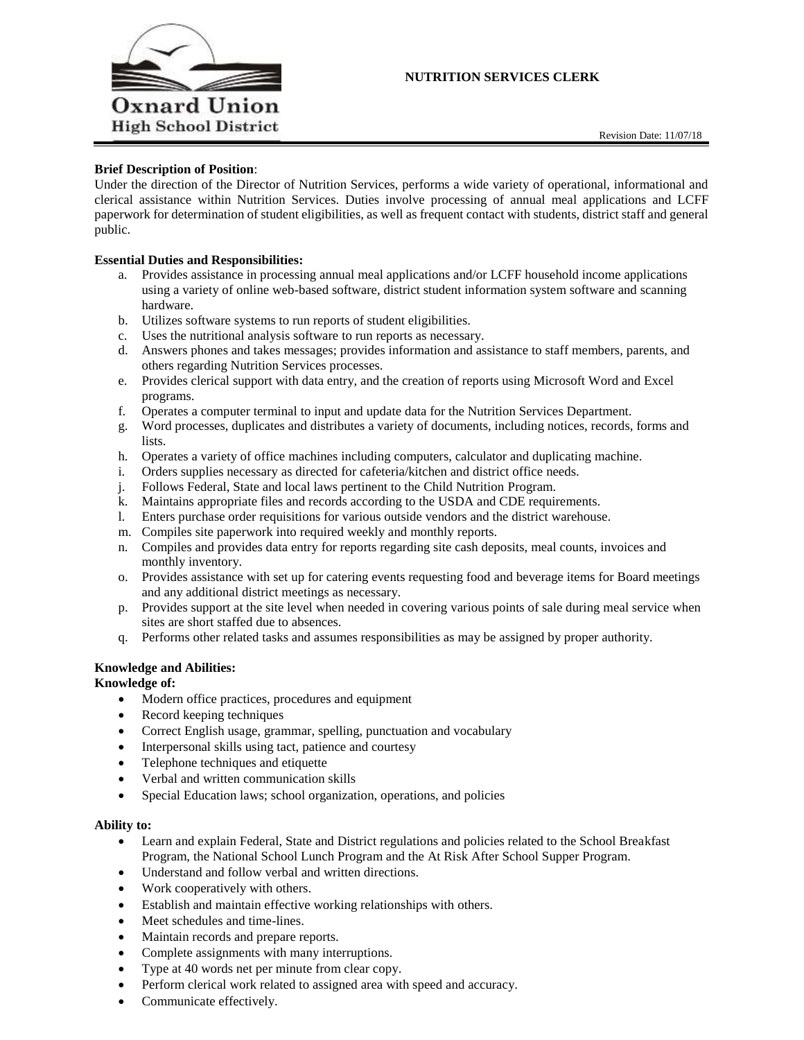

# **NUTRITION SERVICES CLERK**

# **Brief Description of Position**:

Under the direction of the Director of Nutrition Services, performs a wide variety of operational, informational and clerical assistance within Nutrition Services. Duties involve processing of annual meal applications and LCFF paperwork for determination of student eligibilities, as well as frequent contact with students, district staff and general public.

# **Essential Duties and Responsibilities:**

- a. Provides assistance in processing annual meal applications and/or LCFF household income applications using a variety of online web-based software, district student information system software and scanning hardware.
- b. Utilizes software systems to run reports of student eligibilities.
- c. Uses the nutritional analysis software to run reports as necessary.
- d. Answers phones and takes messages; provides information and assistance to staff members, parents, and others regarding Nutrition Services processes.
- e. Provides clerical support with data entry, and the creation of reports using Microsoft Word and Excel programs.
- f. Operates a computer terminal to input and update data for the Nutrition Services Department.
- g. Word processes, duplicates and distributes a variety of documents, including notices, records, forms and lists.
- h. Operates a variety of office machines including computers, calculator and duplicating machine.
- i. Orders supplies necessary as directed for cafeteria/kitchen and district office needs.
- j. Follows Federal, State and local laws pertinent to the Child Nutrition Program.
- k. Maintains appropriate files and records according to the USDA and CDE requirements.
- l. Enters purchase order requisitions for various outside vendors and the district warehouse.
- m. Compiles site paperwork into required weekly and monthly reports.
- n. Compiles and provides data entry for reports regarding site cash deposits, meal counts, invoices and monthly inventory.
- o. Provides assistance with set up for catering events requesting food and beverage items for Board meetings and any additional district meetings as necessary.
- p. Provides support at the site level when needed in covering various points of sale during meal service when sites are short staffed due to absences.
- q. Performs other related tasks and assumes responsibilities as may be assigned by proper authority.

# **Knowledge and Abilities:**

# **Knowledge of:**

- Modern office practices, procedures and equipment
- Record keeping techniques
- Correct English usage, grammar, spelling, punctuation and vocabulary
- Interpersonal skills using tact, patience and courtesy
- Telephone techniques and etiquette
- Verbal and written communication skills
- Special Education laws; school organization, operations, and policies

#### **Ability to:**

- Learn and explain Federal, State and District regulations and policies related to the School Breakfast Program, the National School Lunch Program and the At Risk After School Supper Program.
- Understand and follow verbal and written directions.
- Work cooperatively with others.
- Establish and maintain effective working relationships with others.
- Meet schedules and time-lines.
- Maintain records and prepare reports.
- Complete assignments with many interruptions.
- Type at 40 words net per minute from clear copy.
- Perform clerical work related to assigned area with speed and accuracy.
- Communicate effectively.